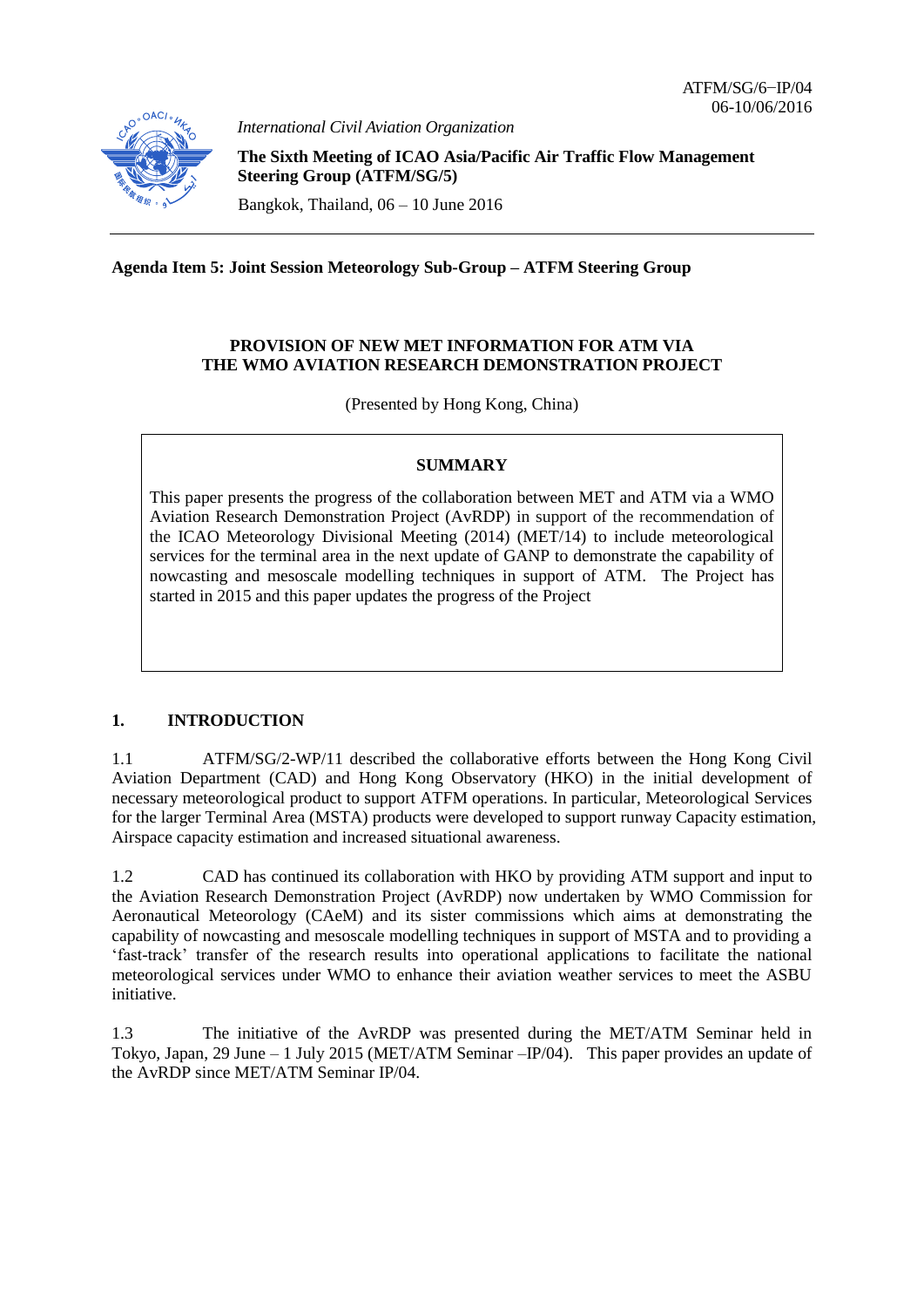

*International Civil Aviation Organization*

**The Sixth Meeting of ICAO Asia/Pacific Air Traffic Flow Management Steering Group (ATFM/SG/5)**

Bangkok, Thailand, 06 – 10 June 2016

**Agenda Item 5: Joint Session Meteorology Sub-Group – ATFM Steering Group**

### **PROVISION OF NEW MET INFORMATION FOR ATM VIA THE WMO AVIATION RESEARCH DEMONSTRATION PROJECT**

(Presented by Hong Kong, China)

# **SUMMARY**

This paper presents the progress of the collaboration between MET and ATM via a WMO Aviation Research Demonstration Project (AvRDP) in support of the recommendation of the ICAO Meteorology Divisional Meeting (2014) (MET/14) to include meteorological services for the terminal area in the next update of GANP to demonstrate the capability of nowcasting and mesoscale modelling techniques in support of ATM. The Project has started in 2015 and this paper updates the progress of the Project

# **1. INTRODUCTION**

1.1 ATFM/SG/2-WP/11 described the collaborative efforts between the Hong Kong Civil Aviation Department (CAD) and Hong Kong Observatory (HKO) in the initial development of necessary meteorological product to support ATFM operations. In particular, Meteorological Services for the larger Terminal Area (MSTA) products were developed to support runway Capacity estimation, Airspace capacity estimation and increased situational awareness.

1.2 CAD has continued its collaboration with HKO by providing ATM support and input to the Aviation Research Demonstration Project (AvRDP) now undertaken by WMO Commission for Aeronautical Meteorology (CAeM) and its sister commissions which aims at demonstrating the capability of nowcasting and mesoscale modelling techniques in support of MSTA and to providing a 'fast-track' transfer of the research results into operational applications to facilitate the national meteorological services under WMO to enhance their aviation weather services to meet the ASBU initiative.

1.3 The initiative of the AvRDP was presented during the MET/ATM Seminar held in Tokyo, Japan, 29 June – 1 July 2015 (MET/ATM Seminar –IP/04). This paper provides an update of the AvRDP since MET/ATM Seminar IP/04.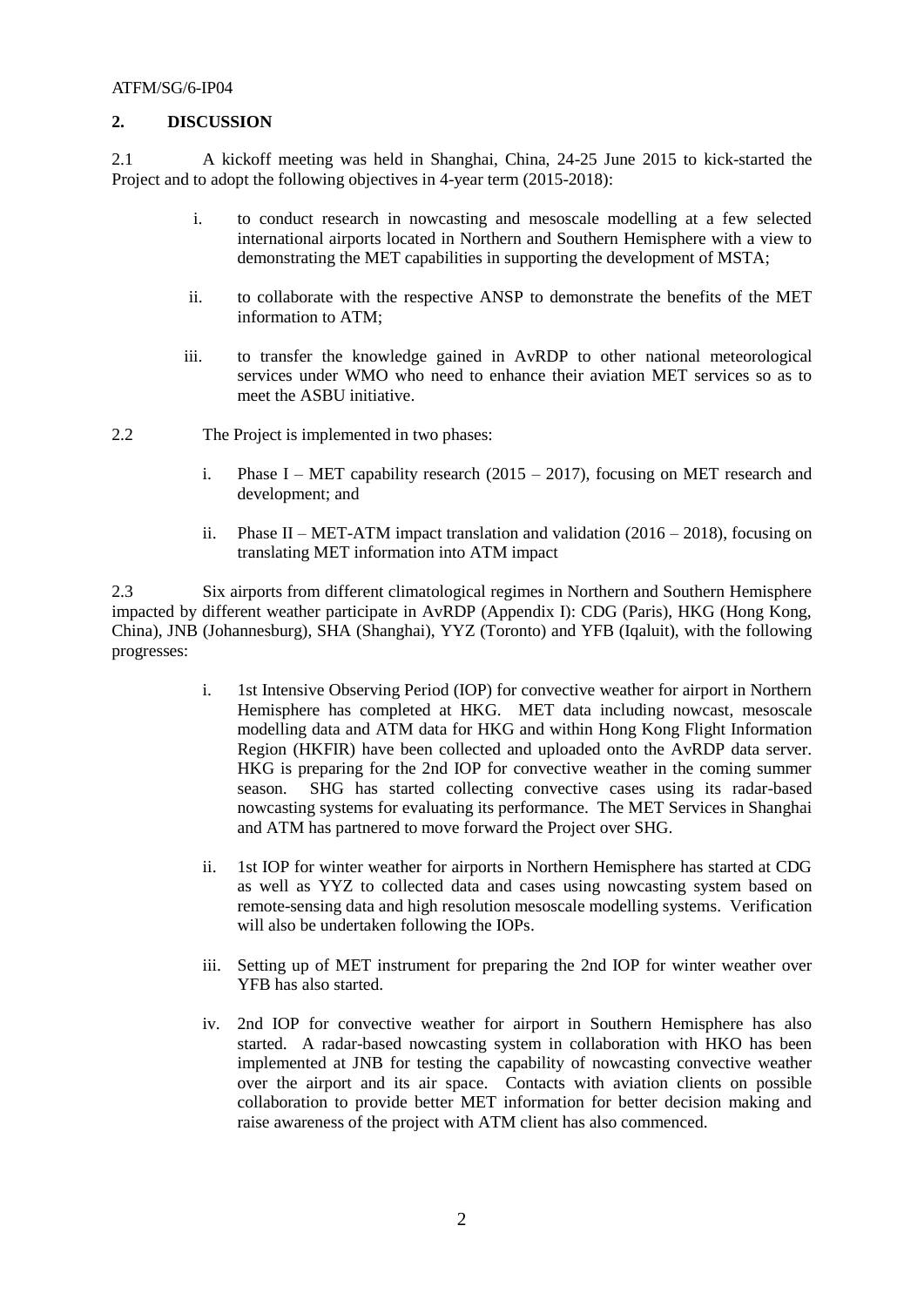#### ATFM/SG/6-IP04

### **2. DISCUSSION**

2.1 A kickoff meeting was held in Shanghai, China, 24-25 June 2015 to kick-started the Project and to adopt the following objectives in 4-year term (2015-2018):

- i. to conduct research in nowcasting and mesoscale modelling at a few selected international airports located in Northern and Southern Hemisphere with a view to demonstrating the MET capabilities in supporting the development of MSTA;
- ii. to collaborate with the respective ANSP to demonstrate the benefits of the MET information to ATM;
- iii. to transfer the knowledge gained in AvRDP to other national meteorological services under WMO who need to enhance their aviation MET services so as to meet the ASBU initiative.
- 2.2 The Project is implemented in two phases:
	- i. Phase I MET capability research  $(2015 2017)$ , focusing on MET research and development; and
	- ii. Phase II MET-ATM impact translation and validation  $(2016 2018)$ , focusing on translating MET information into ATM impact

2.3 Six airports from different climatological regimes in Northern and Southern Hemisphere impacted by different weather participate in AvRDP (Appendix I): CDG (Paris), HKG (Hong Kong, China), JNB (Johannesburg), SHA (Shanghai), YYZ (Toronto) and YFB (Iqaluit), with the following progresses:

- i. 1st Intensive Observing Period (IOP) for convective weather for airport in Northern Hemisphere has completed at HKG. MET data including nowcast, mesoscale modelling data and ATM data for HKG and within Hong Kong Flight Information Region (HKFIR) have been collected and uploaded onto the AvRDP data server. HKG is preparing for the 2nd IOP for convective weather in the coming summer season. SHG has started collecting convective cases using its radar-based nowcasting systems for evaluating its performance. The MET Services in Shanghai and ATM has partnered to move forward the Project over SHG.
- ii. 1st IOP for winter weather for airports in Northern Hemisphere has started at CDG as well as YYZ to collected data and cases using nowcasting system based on remote-sensing data and high resolution mesoscale modelling systems. Verification will also be undertaken following the IOPs.
- iii. Setting up of MET instrument for preparing the 2nd IOP for winter weather over YFB has also started.
- iv. 2nd IOP for convective weather for airport in Southern Hemisphere has also started. A radar-based nowcasting system in collaboration with HKO has been implemented at JNB for testing the capability of nowcasting convective weather over the airport and its air space. Contacts with aviation clients on possible collaboration to provide better MET information for better decision making and raise awareness of the project with ATM client has also commenced.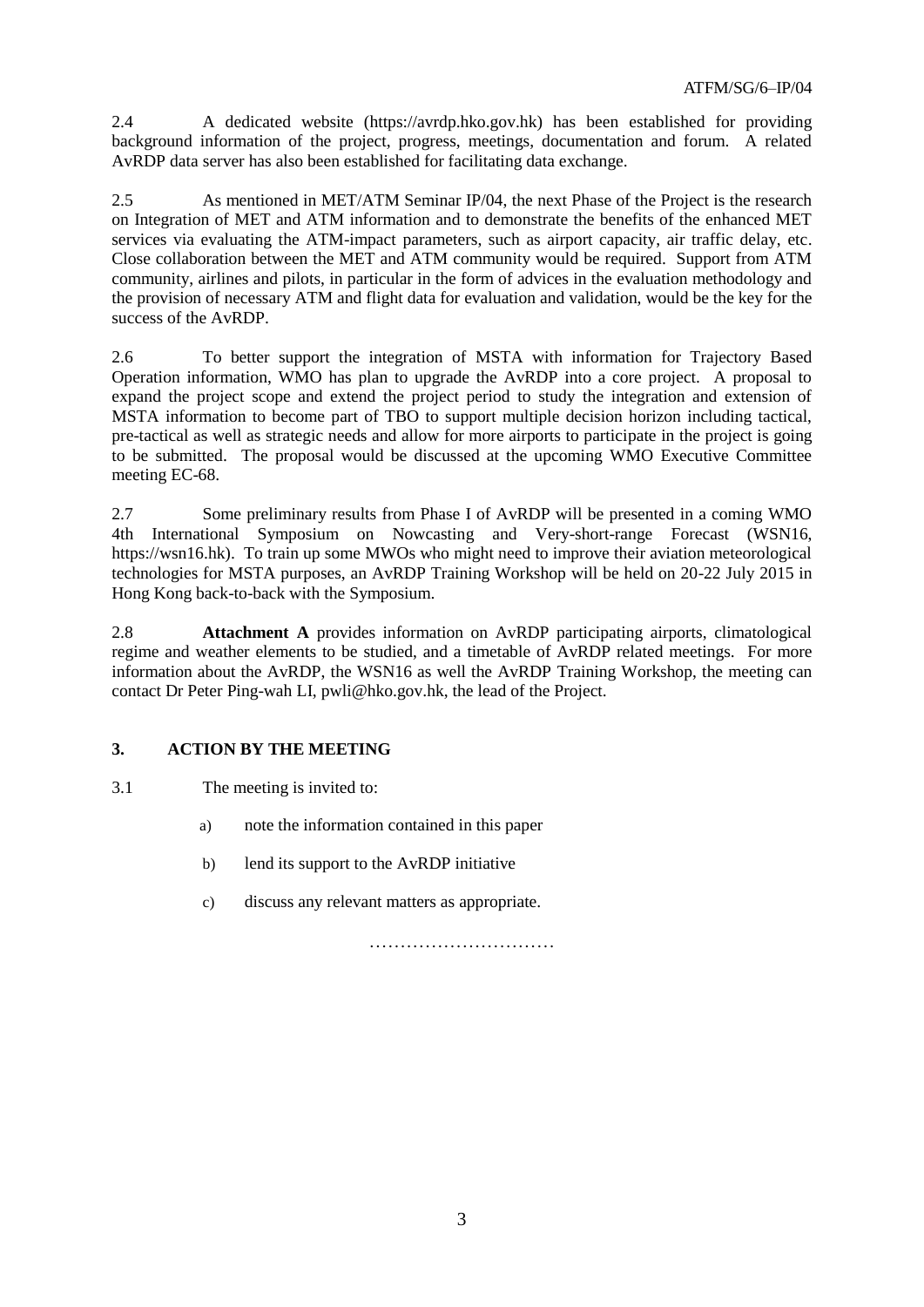2.4 A dedicated website [\(https://avrdp.hko.gov.hk\)](https://avrdp.hko.gov.hk/) has been established for providing background information of the project, progress, meetings, documentation and forum. A related AvRDP data server has also been established for facilitating data exchange.

2.5 As mentioned in MET/ATM Seminar IP/04, the next Phase of the Project is the research on Integration of MET and ATM information and to demonstrate the benefits of the enhanced MET services via evaluating the ATM-impact parameters, such as airport capacity, air traffic delay, etc. Close collaboration between the MET and ATM community would be required. Support from ATM community, airlines and pilots, in particular in the form of advices in the evaluation methodology and the provision of necessary ATM and flight data for evaluation and validation, would be the key for the success of the AvRDP.

2.6 To better support the integration of MSTA with information for Trajectory Based Operation information, WMO has plan to upgrade the AvRDP into a core project. A proposal to expand the project scope and extend the project period to study the integration and extension of MSTA information to become part of TBO to support multiple decision horizon including tactical, pre-tactical as well as strategic needs and allow for more airports to participate in the project is going to be submitted. The proposal would be discussed at the upcoming WMO Executive Committee meeting EC-68.

2.7 Some preliminary results from Phase I of AvRDP will be presented in a coming WMO 4th International Symposium on Nowcasting and Very-short-range Forecast (WSN16, https://wsn16.hk). To train up some MWOs who might need to improve their aviation meteorological technologies for MSTA purposes, an AvRDP Training Workshop will be held on 20-22 July 2015 in Hong Kong back-to-back with the Symposium.

2.8 **Attachment A** provides information on AvRDP participating airports, climatological regime and weather elements to be studied, and a timetable of AvRDP related meetings. For more information about the AvRDP, the WSN16 as well the AvRDP Training Workshop, the meeting can contact Dr Peter Ping-wah LI, [pwli@hko.gov.hk,](mailto:pwli@hko.gov.hk) the lead of the Project.

# **3. ACTION BY THE MEETING**

3.1 The meeting is invited to:

- a) note the information contained in this paper
- b) lend its support to the AvRDP initiative
- c) discuss any relevant matters as appropriate.

…………………………